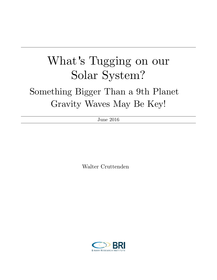# What's Tugging on our Solar System?

# Something Bigger Than a 9th Planet Gravity Waves May Be Key!

June 2016

Walter Cruttenden

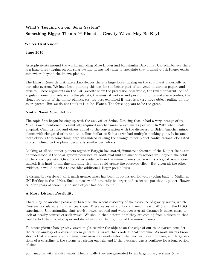## **What's Tugging on our Solar System?** Something Bigger Than a 9<sup>th</sup> Planet – Gravity Waves May Be Key!

**Walter Cruttenden** 

**June 2016**

Astrophysicists around the world, including Mike Brown and Konstantin Batygin at Caltech, believe there is a large force tugging on our solar system. It has led them to speculate that a massive 9th Planet exists somewhere beyond the known planets.

The Binary Research Institute acknowledges there is large force tugging on the southwest underbelly of our solar system. We have been pointing this out for the better part of ten years in various papers and articles. These arguments on the BRI website show the precession observable, the Sun's apparent lack of angular momentum relative to the planets, the unusual motion and position of unbound space probes, the elongated orbits of the minor planets, etc. are best explained if there is a very large object pulling on our solar system. But we do not think it is a 9th Planet. The force appears to be too great.

#### **Ninth Planet Speculation**

The topic first began heating up with the analysis of Sedna. Noticing that it had a very strange orbit, Mike Brown mentioned it essentially required another mass to explain its position. In 2012 when Scott Shepard, Chad Trujillo and others added to the conversation with the discovery of Biden (another minor planet with elongated orbit and an incline similar to Sedna's) we had multiple smoking guns. It became more obvious that something large was indeed causing the strange minor planet configurations: elongated orbits, inclined to the plane, peculiarly similar perihelions.

Looking at all the minor planets together Batygin has stated, "numerous features of the Kuiper Belt…can be understood if the solar system possesses an additional ninth planet that resides well beyond the orbit of the known planets." Given no other evidence than the minor planets pattern it is a logical assumption. Indeed, it is hard to imagine anything else that could create the observed effect. But given all the other evidence it would be wise to consider additional, larger possibilities.

A distant brown dwarf, with much greater mass has been hypothesized for years (going back to Muller at UC Berkley in the 1960s). Such a mass would naturally be larger and easier to spot than a planet. However, after years of searching no such object has been found.

### **A More Distant Possibility**

There may be another possibility based on the recent discovery of the existence of gravity waves, which Einstein postulated a hundred years ago. These waves were only confirmed in early 2016 with the LIGO experiment. Understanding that gravity waves are real and work over a great distance it makes sense to look at nearby sources of such waves. We should then determine if they are coming from a direction that could affect the orbital shapes and distribution of the majority of the minor planets.

To better picture how gravity waves might reorder the objects on the edge of our solar system consider the crude analogy of a distant storm generating waves that erode a local shoreline. As most surfers know storms that are generated a hemisphere away can easily reform the beaches, ocean bottom, and large sections of a coastline, if the storms are strong enough, and if the oversized waves continue for a long period of time.

So it may be with gravity waves. Theoretically they are generated by all large binary systems (that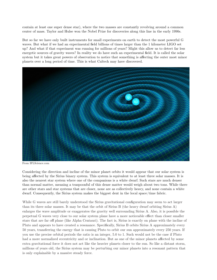contain at least one super dense star), where the two masses are constantly revolving around a common center of mass. Taylor and Hulse won the Nobel Prize for discoveries along this line in the early 1990s.

But so far we have only built instruments for small experiments on earth to detect the most powerful G waves. But what if we had an experimental field billions of times larger than the 1 kilometer LIGO set up? And what if that experiment was running for millions of years? Might this allow us to detect far less energetic sources of gravity waves? In reality we do have such an experimental field. It is called the solar system but it takes great powers of observation to notice that something is affecting the outer most minor planets over a long period of time. This is what Caltech may have discovered.



From IFLScience.com

Considering the direction and incline of the minor planet orbits it would appear that our solar system is being affected by the Sirius binary system. This system is equivalent to at least three solar masses. It is also the nearest star system where one of the companions is a white dwarf. Such stars are much denser than normal matter, meaning a teaspoonful of this dense matter would weigh about two tons. While there are other stars and star systems that are closer, none are as collectively heavy, and none contain a white dwarf. Consequently, the Sirius system makes the biggest dent in the local space/time fabric.

While G waves are still barely understood the Sirius gravitational configuration may seem to act larger than its three solar masses. It may be that the orbit of Sirius B (the heavy dwarf orbiting Sirius A) enlarges the wave amplitude or exaggerates the gravity well surrounding Sirius A. Also, it is possible the perpetual G waves very close to our solar system plane have a more noticeable effect than closer smaller stars that are far off plane (like Alpha Centauri). The fact is, Sirius is exactly on plane with the incline of Pluto and appears to have created a resonance. Specifically, Sirius B orbits Sirius A approximately every 50 years, transferring the energy that is causing Pluto to orbit our sun approximately every 250 years. If you use the precise orbital periods the ratio is an integer, 5.0 to 1. Such would not be the case if Pluto had a more normalized eccentricity and or inclination. But as one of the minor planets affected by some extra gravitational force it does not act like the heavier planets closer to the sun. So like a distant storm, millions of years old, the Sirius system may be perturbing our minor planets into a resonant pattern that is only explainable by a massive steady force.